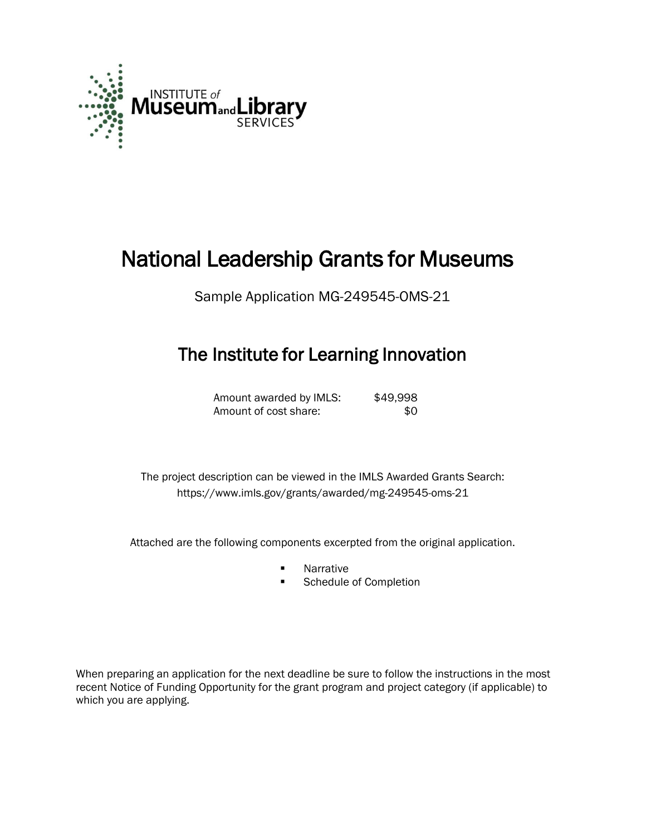

# National Leadership Grants for Museums

Sample Application MG-249545-OMS-21

## The Institute for Learning Innovation

Amount awarded by IMLS: \$49,998 Amount of cost share:  $$0$ 

 The project description can be viewed in the IMLS Awarded Grants Search: <https://www.imls.gov/grants/awarded/mg-249545-oms-21>

Attached are the following components excerpted from the original application.

- **Narrative**
- **Schedule of Completion**

When preparing an application for the next deadline be sure to follow the instructions in the most recent Notice of Funding Opportunity for the grant program and project category (if applicable) to which you are applying.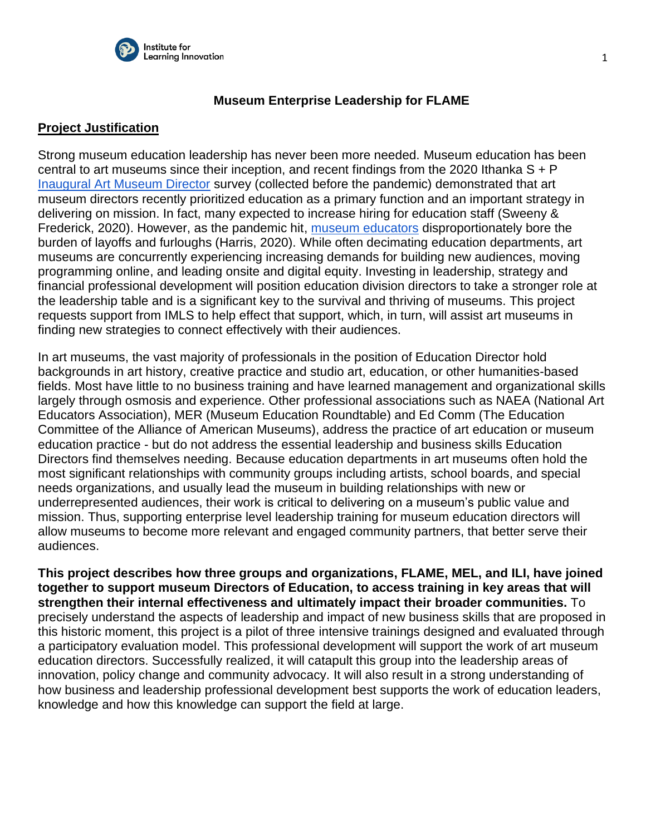

## **Museum Enterprise Leadership for FLAME**

### **Project Justification**

Strong museum education leadership has never been more needed. Museum education has been central to art museums since their inception, and recent findings from the 2020 Ithanka  $S + P$ [Inaugural Art Museum Director](https://sr.ithaka.org/blog/findings-from-the-inaugural-art-museum-director-survey/) survey (collected before the pandemic) demonstrated that art museum directors recently prioritized education as a primary function and an important strategy in delivering on mission. In fact, many expected to increase hiring for education staff (Sweeny & Frederick, 2020). However, as the pandemic hit, [museum educators](https://www.theartnewspaper.com/news/open-letter-educator-redundancies-at-museums-worldwide) disproportionately bore the burden of layoffs and furloughs (Harris, 2020). While often decimating education departments, art museums are concurrently experiencing increasing demands for building new audiences, moving programming online, and leading onsite and digital equity. Investing in leadership, strategy and financial professional development will position education division directors to take a stronger role at the leadership table and is a significant key to the survival and thriving of museums. This project requests support from IMLS to help effect that support, which, in turn, will assist art museums in finding new strategies to connect effectively with their audiences.

In art museums, the vast majority of professionals in the position of Education Director hold backgrounds in art history, creative practice and studio art, education, or other humanities-based fields. Most have little to no business training and have learned management and organizational skills largely through osmosis and experience. Other professional associations such as NAEA (National Art Educators Association), MER (Museum Education Roundtable) and Ed Comm (The Education Committee of the Alliance of American Museums), address the practice of art education or museum education practice - but do not address the essential leadership and business skills Education Directors find themselves needing. Because education departments in art museums often hold the most significant relationships with community groups including artists, school boards, and special needs organizations, and usually lead the museum in building relationships with new or underrepresented audiences, their work is critical to delivering on a museum's public value and mission. Thus, supporting enterprise level leadership training for museum education directors will allow museums to become more relevant and engaged community partners, that better serve their audiences.

**This project describes how three groups and organizations, FLAME, MEL, and ILI, have joined together to support museum Directors of Education, to access training in key areas that will strengthen their internal effectiveness and ultimately impact their broader communities.** To precisely understand the aspects of leadership and impact of new business skills that are proposed in this historic moment, this project is a pilot of three intensive trainings designed and evaluated through a participatory evaluation model. This professional development will support the work of art museum education directors. Successfully realized, it will catapult this group into the leadership areas of innovation, policy change and community advocacy. It will also result in a strong understanding of how business and leadership professional development best supports the work of education leaders, knowledge and how this knowledge can support the field at large.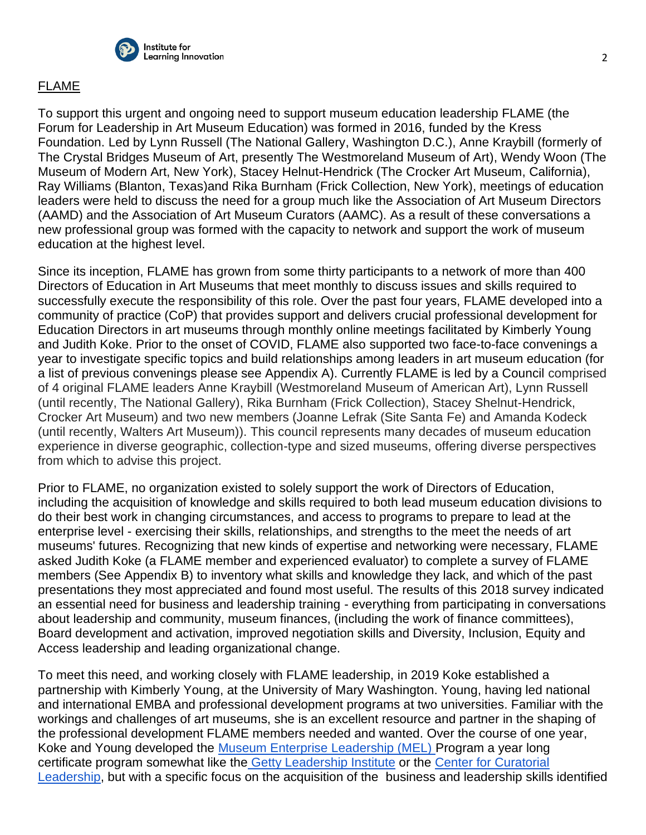

## FLAME

To support this urgent and ongoing need to support museum education leadership FLAME (the Forum for Leadership in Art Museum Education) was formed in 2016, funded by the Kress Foundation. Led by Lynn Russell (The National Gallery, Washington D.C.), Anne Kraybill (formerly of The Crystal Bridges Museum of Art, presently The Westmoreland Museum of Art), Wendy Woon (The Museum of Modern Art, New York), Stacey Helnut-Hendrick (The Crocker Art Museum, California), Ray Williams (Blanton, Texas)and Rika Burnham (Frick Collection, New York), meetings of education leaders were held to discuss the need for a group much like the Association of Art Museum Directors (AAMD) and the Association of Art Museum Curators (AAMC). As a result of these conversations a new professional group was formed with the capacity to network and support the work of museum education at the highest level.

Since its inception, FLAME has grown from some thirty participants to a network of more than 400 Directors of Education in Art Museums that meet monthly to discuss issues and skills required to successfully execute the responsibility of this role. Over the past four years, FLAME developed into a community of practice (CoP) that provides support and delivers crucial professional development for Education Directors in art museums through monthly online meetings facilitated by Kimberly Young and Judith Koke. Prior to the onset of COVID, FLAME also supported two face-to-face convenings a year to investigate specific topics and build relationships among leaders in art museum education (for a list of previous convenings please see Appendix A). Currently FLAME is led by a Council comprised of 4 original FLAME leaders Anne Kraybill (Westmoreland Museum of American Art), Lynn Russell (until recently, The National Gallery), Rika Burnham (Frick Collection), Stacey Shelnut-Hendrick, Crocker Art Museum) and two new members (Joanne Lefrak (Site Santa Fe) and Amanda Kodeck (until recently, Walters Art Museum)). This council represents many decades of museum education experience in diverse geographic, collection-type and sized museums, offering diverse perspectives from which to advise this project.

Prior to FLAME, no organization existed to solely support the work of Directors of Education, including the acquisition of knowledge and skills required to both lead museum education divisions to do their best work in changing circumstances, and access to programs to prepare to lead at the enterprise level - exercising their skills, relationships, and strengths to the meet the needs of art museums' futures. Recognizing that new kinds of expertise and networking were necessary, FLAME asked Judith Koke (a FLAME member and experienced evaluator) to complete a survey of FLAME members (See Appendix B) to inventory what skills and knowledge they lack, and which of the past presentations they most appreciated and found most useful. The results of this 2018 survey indicated an essential need for business and leadership training - everything from participating in conversations about leadership and community, museum finances, (including the work of finance committees), Board development and activation, improved negotiation skills and Diversity, Inclusion, Equity and Access leadership and leading organizational change.

To meet this need, and working closely with FLAME leadership, in 2019 Koke established a partnership with Kimberly Young, at the University of Mary Washington. Young, having led national and international EMBA and professional development programs at two universities. Familiar with the workings and challenges of art museums, she is an excellent resource and partner in the shaping of the professional development FLAME members needed and wanted. Over the course of one year, Koke and Young developed the [Museum Enterprise Leadership \(MEL\) P](https://cpsprograms.umw.edu/mel/)rogram a year long certificate program somewhat like the [Getty Leadership Institute](http://www.getty.edu/leadership/index.html) or the [Center for Curatorial](https://www.curatorialleadership.org/)  [Leadership,](https://www.curatorialleadership.org/) but with a specific focus on the acquisition of the business and leadership skills identified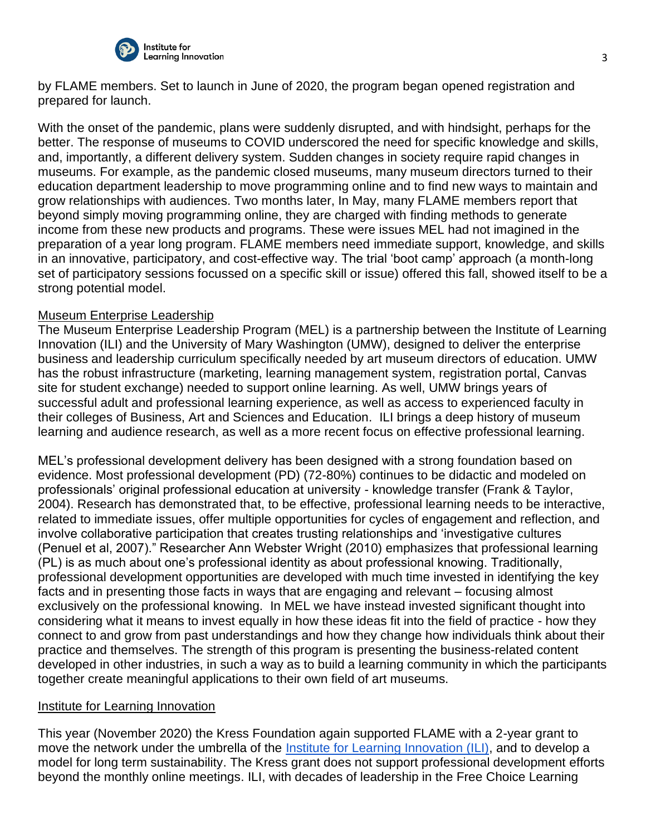

by FLAME members. Set to launch in June of 2020, the program began opened registration and prepared for launch.

With the onset of the pandemic, plans were suddenly disrupted, and with hindsight, perhaps for the better. The response of museums to COVID underscored the need for specific knowledge and skills, and, importantly, a different delivery system. Sudden changes in society require rapid changes in museums. For example, as the pandemic closed museums, many museum directors turned to their education department leadership to move programming online and to find new ways to maintain and grow relationships with audiences. Two months later, In May, many FLAME members report that beyond simply moving programming online, they are charged with finding methods to generate income from these new products and programs. These were issues MEL had not imagined in the preparation of a year long program. FLAME members need immediate support, knowledge, and skills in an innovative, participatory, and cost-effective way. The trial 'boot camp' approach (a month-long set of participatory sessions focussed on a specific skill or issue) offered this fall, showed itself to be a strong potential model.

#### Museum Enterprise Leadership

The Museum Enterprise Leadership Program (MEL) is a partnership between the Institute of Learning Innovation (ILI) and the University of Mary Washington (UMW), designed to deliver the enterprise business and leadership curriculum specifically needed by art museum directors of education. UMW has the robust infrastructure (marketing, learning management system, registration portal, Canvas site for student exchange) needed to support online learning. As well, UMW brings years of successful adult and professional learning experience, as well as access to experienced faculty in their colleges of Business, Art and Sciences and Education. ILI brings a deep history of museum learning and audience research, as well as a more recent focus on effective professional learning.

MEL's professional development delivery has been designed with a strong foundation based on evidence. Most professional development (PD) (72-80%) continues to be didactic and modeled on professionals' original professional education at university - knowledge transfer (Frank & Taylor, 2004). Research has demonstrated that, to be effective, professional learning needs to be interactive, related to immediate issues, offer multiple opportunities for cycles of engagement and reflection, and involve collaborative participation that creates trusting relationships and 'investigative cultures (Penuel et al, 2007)." Researcher Ann Webster Wright (2010) emphasizes that professional learning (PL) is as much about one's professional identity as about professional knowing. Traditionally, professional development opportunities are developed with much time invested in identifying the key facts and in presenting those facts in ways that are engaging and relevant – focusing almost exclusively on the professional knowing. In MEL we have instead invested significant thought into considering what it means to invest equally in how these ideas fit into the field of practice - how they connect to and grow from past understandings and how they change how individuals think about their practice and themselves. The strength of this program is presenting the business-related content developed in other industries, in such a way as to build a learning community in which the participants together create meaningful applications to their own field of art museums.

#### Institute for Learning Innovation

This year (November 2020) the Kress Foundation again supported FLAME with a 2-year grant to move the network under the umbrella of the [Institute for Learning Innovation \(ILI\),](https://www.instituteforlearninginnovation.org/) and to develop a model for long term sustainability. The Kress grant does not support professional development efforts beyond the monthly online meetings. ILI, with decades of leadership in the Free Choice Learning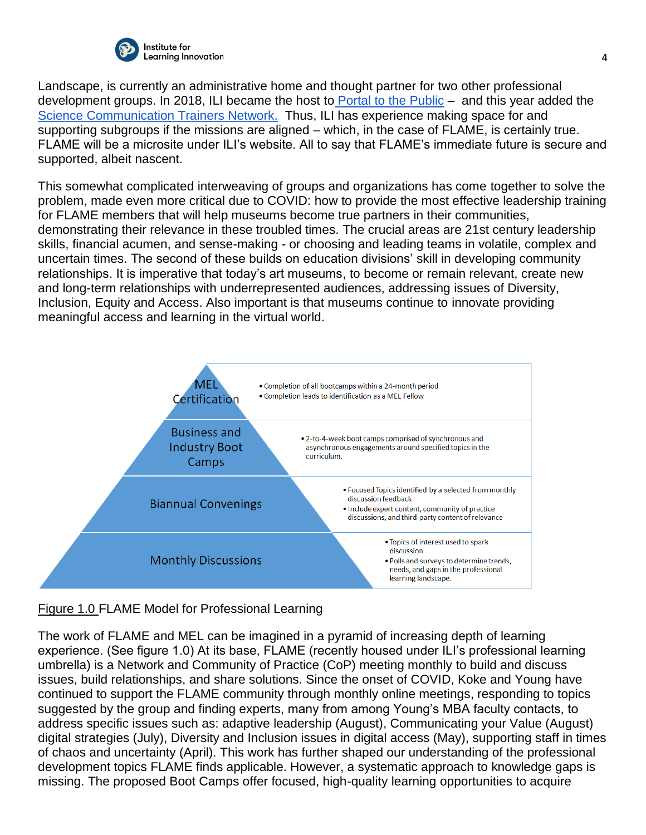

Landscape, is currently an administrative home and thought partner for two other professional development groups. In 2018, ILI became the host to [Portal to the Public](https://popnet.instituteforlearninginnovation.org/) – and this year added the [Science Communication Trainers Network.](https://www.sctn.online/) Thus, ILI has experience making space for and supporting subgroups if the missions are aligned – which, in the case of FLAME, is certainly true. FLAME will be a microsite under ILI's website. All to say that FLAME's immediate future is secure and supported, albeit nascent.

This somewhat complicated interweaving of groups and organizations has come together to solve the problem, made even more critical due to COVID: how to provide the most effective leadership training for FLAME members that will help museums become true partners in their communities, demonstrating their relevance in these troubled times. The crucial areas are 21st century leadership skills, financial acumen, and sense-making - or choosing and leading teams in volatile, complex and uncertain times. The second of these builds on education divisions' skill in developing community relationships. It is imperative that today's art museums, to become or remain relevant, create new and long-term relationships with underrepresented audiences, addressing issues of Diversity, Inclusion, Equity and Access. Also important is that museums continue to innovate providing meaningful access and learning in the virtual world.



## Figure 1.0 FLAME Model for Professional Learning

The work of FLAME and MEL can be imagined in a pyramid of increasing depth of learning experience. (See figure 1.0) At its base, FLAME (recently housed under ILI's professional learning umbrella) is a Network and Community of Practice (CoP) meeting monthly to build and discuss issues, build relationships, and share solutions. Since the onset of COVID, Koke and Young have continued to support the FLAME community through monthly online meetings, responding to topics suggested by the group and finding experts, many from among Young's MBA faculty contacts, to address specific issues such as: adaptive leadership (August), Communicating your Value (August) digital strategies (July), Diversity and Inclusion issues in digital access (May), supporting staff in times of chaos and uncertainty (April). This work has further shaped our understanding of the professional development topics FLAME finds applicable. However, a systematic approach to knowledge gaps is missing. The proposed Boot Camps offer focused, high-quality learning opportunities to acquire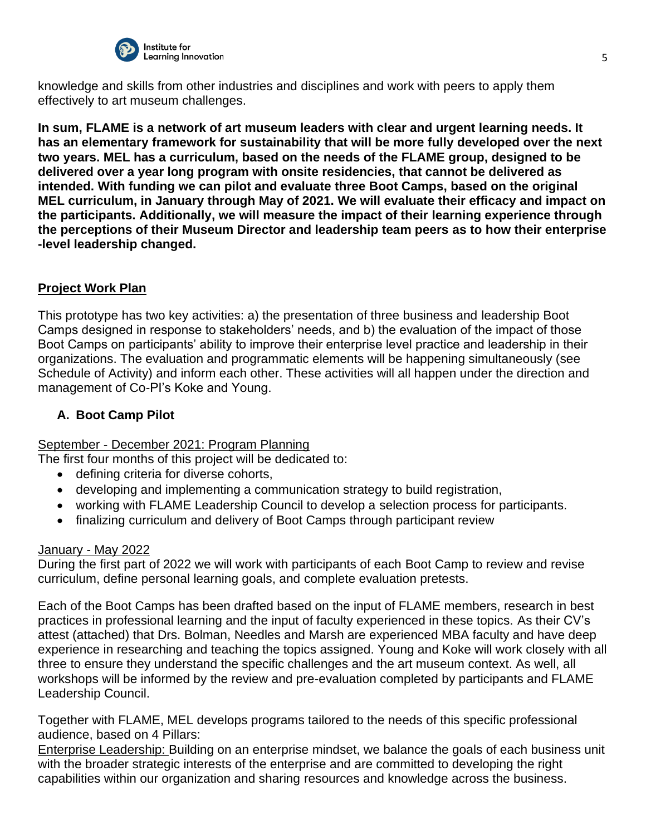

knowledge and skills from other industries and disciplines and work with peers to apply them effectively to art museum challenges.

**In sum, FLAME is a network of art museum leaders with clear and urgent learning needs. It has an elementary framework for sustainability that will be more fully developed over the next two years. MEL has a curriculum, based on the needs of the FLAME group, designed to be delivered over a year long program with onsite residencies, that cannot be delivered as intended. With funding we can pilot and evaluate three Boot Camps, based on the original MEL curriculum, in January through May of 2021. We will evaluate their efficacy and impact on the participants. Additionally, we will measure the impact of their learning experience through the perceptions of their Museum Director and leadership team peers as to how their enterprise -level leadership changed.** 

## **Project Work Plan**

This prototype has two key activities: a) the presentation of three business and leadership Boot Camps designed in response to stakeholders' needs, and b) the evaluation of the impact of those Boot Camps on participants' ability to improve their enterprise level practice and leadership in their organizations. The evaluation and programmatic elements will be happening simultaneously (see Schedule of Activity) and inform each other. These activities will all happen under the direction and management of Co-PI's Koke and Young.

## **A. Boot Camp Pilot**

## September - December 2021: Program Planning

The first four months of this project will be dedicated to:

- defining criteria for diverse cohorts,
- developing and implementing a communication strategy to build registration,
- working with FLAME Leadership Council to develop a selection process for participants.
- finalizing curriculum and delivery of Boot Camps through participant review

## January - May 2022

During the first part of 2022 we will work with participants of each Boot Camp to review and revise curriculum, define personal learning goals, and complete evaluation pretests.

Each of the Boot Camps has been drafted based on the input of FLAME members, research in best practices in professional learning and the input of faculty experienced in these topics. As their CV's attest (attached) that Drs. Bolman, Needles and Marsh are experienced MBA faculty and have deep experience in researching and teaching the topics assigned. Young and Koke will work closely with all three to ensure they understand the specific challenges and the art museum context. As well, all workshops will be informed by the review and pre-evaluation completed by participants and FLAME Leadership Council.

Together with FLAME, MEL develops programs tailored to the needs of this specific professional audience, based on 4 Pillars:

Enterprise Leadership: Building on an enterprise mindset, we balance the goals of each business unit with the broader strategic interests of the enterprise and are committed to developing the right capabilities within our organization and sharing resources and knowledge across the business.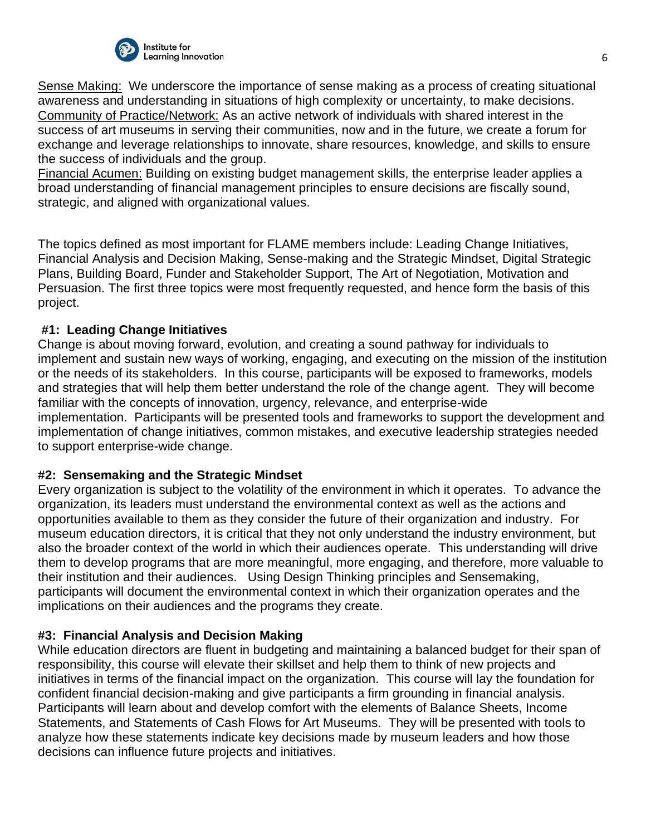

Sense Making: We underscore the importance of sense making as a process of creating situational awareness and understanding in situations of high complexity or uncertainty, to make decisions. Community of Practice/Network: As an active network of individuals with shared interest in the success of art museums in serving their communities, now and in the future, we create a forum for exchange and leverage relationships to innovate, share resources, knowledge, and skills to ensure the success of individuals and the group.

Financial Acumen: Building on existing budget management skills, the enterprise leader applies a broad understanding of financial management principles to ensure decisions are fiscally sound, strategic, and aligned with organizational values.

The topics defined as most important for FLAME members include: Leading Change Initiatives, Financial Analysis and Decision Making, Sense-making and the Strategic Mindset, Digital Strategic Plans, Building Board, Funder and Stakeholder Support, The Art of Negotiation, Motivation and Persuasion. The first three topics were most frequently requested, and hence form the basis of this project.

## **#1: Leading Change Initiatives**

Change is about moving forward, evolution, and creating a sound pathway for individuals to implement and sustain new ways of working, engaging, and executing on the mission of the institution or the needs of its stakeholders. In this course, participants will be exposed to frameworks, models and strategies that will help them better understand the role of the change agent. They will become familiar with the concepts of innovation, urgency, relevance, and enterprise-wide implementation. Participants will be presented tools and frameworks to support the development and implementation of change initiatives, common mistakes, and executive leadership strategies needed to support enterprise-wide change.

#### **#2: Sensemaking and the Strategic Mindset**

Every organization is subject to the volatility of the environment in which it operates. To advance the organization, its leaders must understand the environmental context as well as the actions and opportunities available to them as they consider the future of their organization and industry. For museum education directors, it is critical that they not only understand the industry environment, but also the broader context of the world in which their audiences operate. This understanding will drive them to develop programs that are more meaningful, more engaging, and therefore, more valuable to their institution and their audiences. Using Design Thinking principles and Sensemaking, participants will document the environmental context in which their organization operates and the implications on their audiences and the programs they create.

## **#3: Financial Analysis and Decision Making**

While education directors are fluent in budgeting and maintaining a balanced budget for their span of responsibility, this course will elevate their skillset and help them to think of new projects and initiatives in terms of the financial impact on the organization. This course will lay the foundation for confident financial decision-making and give participants a firm grounding in financial analysis. Participants will learn about and develop comfort with the elements of Balance Sheets, Income Statements, and Statements of Cash Flows for Art Museums. They will be presented with tools to analyze how these statements indicate key decisions made by museum leaders and how those decisions can influence future projects and initiatives.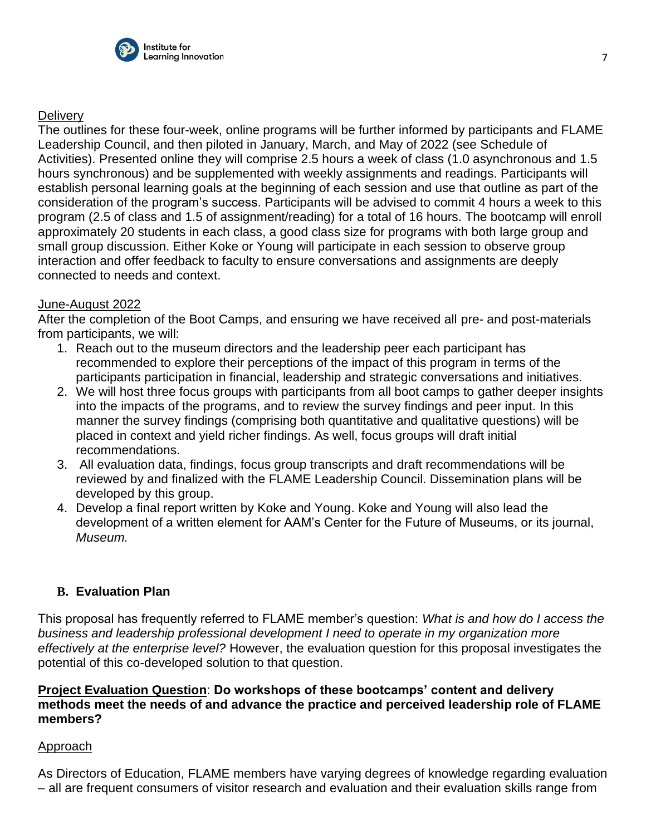

## **Delivery**

The outlines for these four-week, online programs will be further informed by participants and FLAME Leadership Council, and then piloted in January, March, and May of 2022 (see Schedule of Activities). Presented online they will comprise 2.5 hours a week of class (1.0 asynchronous and 1.5 hours synchronous) and be supplemented with weekly assignments and readings. Participants will establish personal learning goals at the beginning of each session and use that outline as part of the consideration of the program's success. Participants will be advised to commit 4 hours a week to this program (2.5 of class and 1.5 of assignment/reading) for a total of 16 hours. The bootcamp will enroll approximately 20 students in each class, a good class size for programs with both large group and small group discussion. Either Koke or Young will participate in each session to observe group interaction and offer feedback to faculty to ensure conversations and assignments are deeply connected to needs and context.

#### June-August 2022

After the completion of the Boot Camps, and ensuring we have received all pre- and post-materials from participants, we will:

- 1. Reach out to the museum directors and the leadership peer each participant has recommended to explore their perceptions of the impact of this program in terms of the participants participation in financial, leadership and strategic conversations and initiatives.
- 2. We will host three focus groups with participants from all boot camps to gather deeper insights into the impacts of the programs, and to review the survey findings and peer input. In this manner the survey findings (comprising both quantitative and qualitative questions) will be placed in context and yield richer findings. As well, focus groups will draft initial recommendations.
- 3. All evaluation data, findings, focus group transcripts and draft recommendations will be reviewed by and finalized with the FLAME Leadership Council. Dissemination plans will be developed by this group.
- 4. Develop a final report written by Koke and Young. Koke and Young will also lead the development of a written element for AAM's Center for the Future of Museums, or its journal, *Museum.*

## **B. Evaluation Plan**

This proposal has frequently referred to FLAME member's question: *What is and how do I access the business and leadership professional development I need to operate in my organization more effectively at the enterprise level?* However, the evaluation question for this proposal investigates the potential of this co-developed solution to that question.

### **Project Evaluation Question**: **Do workshops of these bootcamps' content and delivery methods meet the needs of and advance the practice and perceived leadership role of FLAME members?**

## Approach

As Directors of Education, FLAME members have varying degrees of knowledge regarding evaluation – all are frequent consumers of visitor research and evaluation and their evaluation skills range from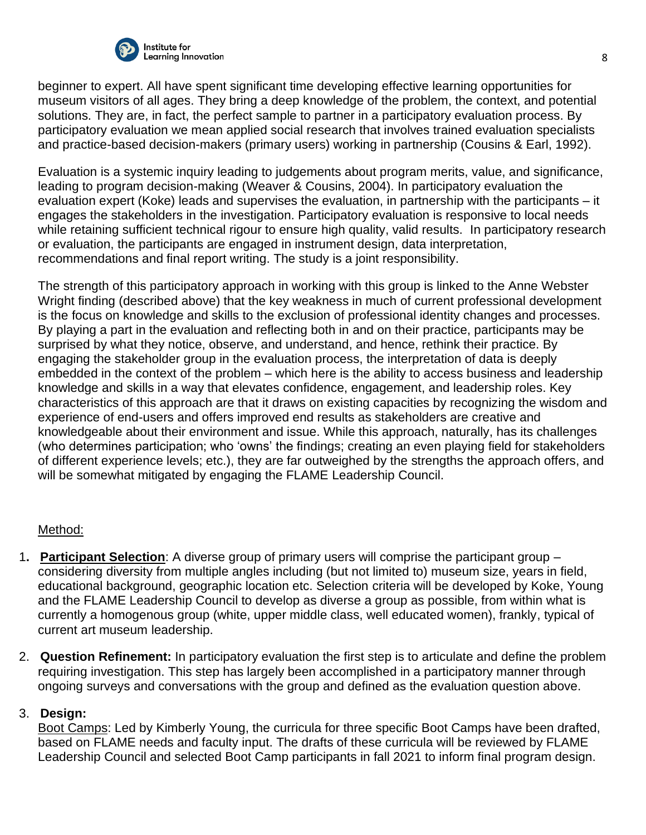

beginner to expert. All have spent significant time developing effective learning opportunities for museum visitors of all ages. They bring a deep knowledge of the problem, the context, and potential solutions. They are, in fact, the perfect sample to partner in a participatory evaluation process. By participatory evaluation we mean applied social research that involves trained evaluation specialists and practice-based decision-makers (primary users) working in partnership (Cousins & Earl, 1992).

Evaluation is a systemic inquiry leading to judgements about program merits, value, and significance, leading to program decision-making (Weaver & Cousins, 2004). In participatory evaluation the evaluation expert (Koke) leads and supervises the evaluation, in partnership with the participants – it engages the stakeholders in the investigation. Participatory evaluation is responsive to local needs while retaining sufficient technical rigour to ensure high quality, valid results. In participatory research or evaluation, the participants are engaged in instrument design, data interpretation, recommendations and final report writing. The study is a joint responsibility.

The strength of this participatory approach in working with this group is linked to the Anne Webster Wright finding (described above) that the key weakness in much of current professional development is the focus on knowledge and skills to the exclusion of professional identity changes and processes. By playing a part in the evaluation and reflecting both in and on their practice, participants may be surprised by what they notice, observe, and understand, and hence, rethink their practice. By engaging the stakeholder group in the evaluation process, the interpretation of data is deeply embedded in the context of the problem – which here is the ability to access business and leadership knowledge and skills in a way that elevates confidence, engagement, and leadership roles. Key characteristics of this approach are that it draws on existing capacities by recognizing the wisdom and experience of end-users and offers improved end results as stakeholders are creative and knowledgeable about their environment and issue. While this approach, naturally, has its challenges (who determines participation; who 'owns' the findings; creating an even playing field for stakeholders of different experience levels; etc.), they are far outweighed by the strengths the approach offers, and will be somewhat mitigated by engaging the FLAME Leadership Council.

## Method:

- 1**. Participant Selection**: A diverse group of primary users will comprise the participant group considering diversity from multiple angles including (but not limited to) museum size, years in field, educational background, geographic location etc. Selection criteria will be developed by Koke, Young and the FLAME Leadership Council to develop as diverse a group as possible, from within what is currently a homogenous group (white, upper middle class, well educated women), frankly, typical of current art museum leadership.
- 2. **Question Refinement:** In participatory evaluation the first step is to articulate and define the problem requiring investigation. This step has largely been accomplished in a participatory manner through ongoing surveys and conversations with the group and defined as the evaluation question above.

#### 3. **Design:**

Boot Camps: Led by Kimberly Young, the curricula for three specific Boot Camps have been drafted, based on FLAME needs and faculty input. The drafts of these curricula will be reviewed by FLAME Leadership Council and selected Boot Camp participants in fall 2021 to inform final program design.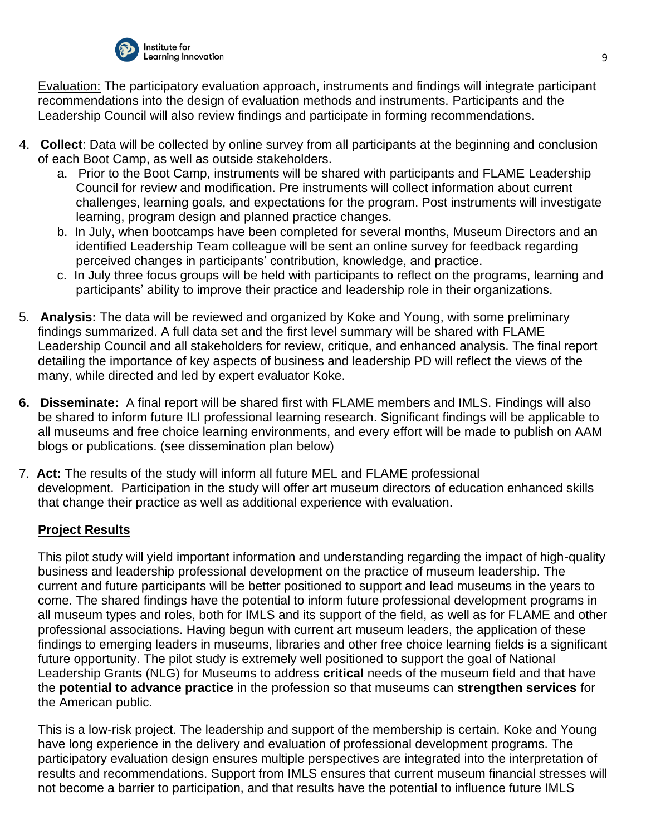

Evaluation: The participatory evaluation approach, instruments and findings will integrate participant recommendations into the design of evaluation methods and instruments. Participants and the Leadership Council will also review findings and participate in forming recommendations.

- 4. **Collect**: Data will be collected by online survey from all participants at the beginning and conclusion of each Boot Camp, as well as outside stakeholders.
	- a. Prior to the Boot Camp, instruments will be shared with participants and FLAME Leadership Council for review and modification. Pre instruments will collect information about current challenges, learning goals, and expectations for the program. Post instruments will investigate learning, program design and planned practice changes.
	- b. In July, when bootcamps have been completed for several months, Museum Directors and an identified Leadership Team colleague will be sent an online survey for feedback regarding perceived changes in participants' contribution, knowledge, and practice.
	- c. In July three focus groups will be held with participants to reflect on the programs, learning and participants' ability to improve their practice and leadership role in their organizations.
- 5. **Analysis:** The data will be reviewed and organized by Koke and Young, with some preliminary findings summarized. A full data set and the first level summary will be shared with FLAME Leadership Council and all stakeholders for review, critique, and enhanced analysis. The final report detailing the importance of key aspects of business and leadership PD will reflect the views of the many, while directed and led by expert evaluator Koke.
- **6. Disseminate:** A final report will be shared first with FLAME members and IMLS. Findings will also be shared to inform future ILI professional learning research. Significant findings will be applicable to all museums and free choice learning environments, and every effort will be made to publish on AAM blogs or publications. (see dissemination plan below)
- 7. **Act:** The results of the study will inform all future MEL and FLAME professional development. Participation in the study will offer art museum directors of education enhanced skills that change their practice as well as additional experience with evaluation.

## **Project Results**

This pilot study will yield important information and understanding regarding the impact of high-quality business and leadership professional development on the practice of museum leadership. The current and future participants will be better positioned to support and lead museums in the years to come. The shared findings have the potential to inform future professional development programs in all museum types and roles, both for IMLS and its support of the field, as well as for FLAME and other professional associations. Having begun with current art museum leaders, the application of these findings to emerging leaders in museums, libraries and other free choice learning fields is a significant future opportunity. The pilot study is extremely well positioned to support the goal of National Leadership Grants (NLG) for Museums to address **critical** needs of the museum field and that have the **potential to advance practice** in the profession so that museums can **strengthen services** for the American public.

This is a low-risk project. The leadership and support of the membership is certain. Koke and Young have long experience in the delivery and evaluation of professional development programs. The participatory evaluation design ensures multiple perspectives are integrated into the interpretation of results and recommendations. Support from IMLS ensures that current museum financial stresses will not become a barrier to participation, and that results have the potential to influence future IMLS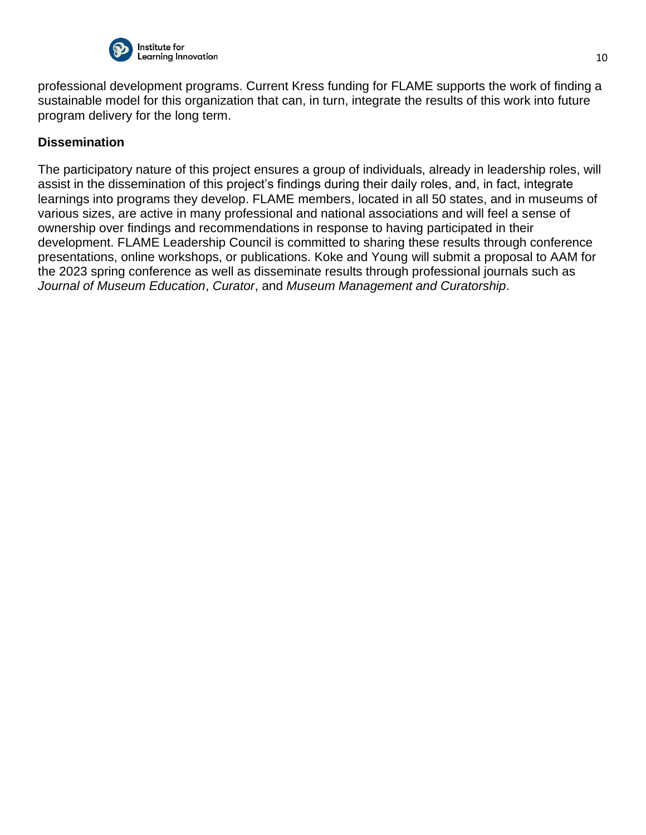

professional development programs. Current Kress funding for FLAME supports the work of finding a sustainable model for this organization that can, in turn, integrate the results of this work into future program delivery for the long term.

### **Dissemination**

The participatory nature of this project ensures a group of individuals, already in leadership roles, will assist in the dissemination of this project's findings during their daily roles, and, in fact, integrate learnings into programs they develop. FLAME members, located in all 50 states, and in museums of various sizes, are active in many professional and national associations and will feel a sense of ownership over findings and recommendations in response to having participated in their development. FLAME Leadership Council is committed to sharing these results through conference presentations, online workshops, or publications. Koke and Young will submit a proposal to AAM for the 2023 spring conference as well as disseminate results through professional journals such as *Journal of Museum Education*, *Curator*, and *Museum Management and Curatorship*.